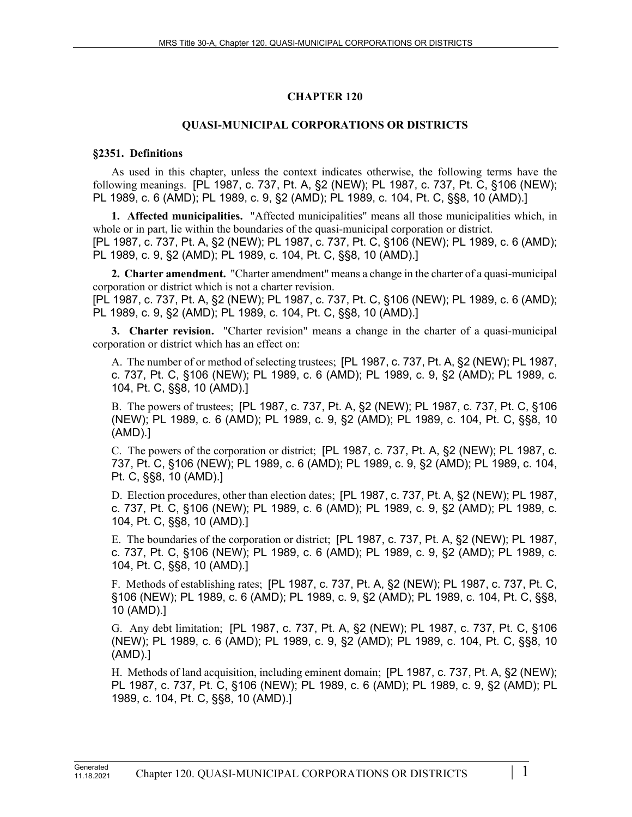# **CHAPTER 120**

### **QUASI-MUNICIPAL CORPORATIONS OR DISTRICTS**

### **§2351. Definitions**

As used in this chapter, unless the context indicates otherwise, the following terms have the following meanings. [PL 1987, c. 737, Pt. A, §2 (NEW); PL 1987, c. 737, Pt. C, §106 (NEW); PL 1989, c. 6 (AMD); PL 1989, c. 9, §2 (AMD); PL 1989, c. 104, Pt. C, §§8, 10 (AMD).]

**1. Affected municipalities.** "Affected municipalities" means all those municipalities which, in whole or in part, lie within the boundaries of the quasi-municipal corporation or district. [PL 1987, c. 737, Pt. A, §2 (NEW); PL 1987, c. 737, Pt. C, §106 (NEW); PL 1989, c. 6 (AMD); PL 1989, c. 9, §2 (AMD); PL 1989, c. 104, Pt. C, §§8, 10 (AMD).]

**2. Charter amendment.** "Charter amendment" means a change in the charter of a quasi-municipal corporation or district which is not a charter revision.

[PL 1987, c. 737, Pt. A, §2 (NEW); PL 1987, c. 737, Pt. C, §106 (NEW); PL 1989, c. 6 (AMD); PL 1989, c. 9, §2 (AMD); PL 1989, c. 104, Pt. C, §§8, 10 (AMD).]

**3. Charter revision.** "Charter revision" means a change in the charter of a quasi-municipal corporation or district which has an effect on:

A. The number of or method of selecting trustees; [PL 1987, c. 737, Pt. A, §2 (NEW); PL 1987, c. 737, Pt. C, §106 (NEW); PL 1989, c. 6 (AMD); PL 1989, c. 9, §2 (AMD); PL 1989, c. 104, Pt. C, §§8, 10 (AMD).]

B. The powers of trustees; [PL 1987, c. 737, Pt. A, §2 (NEW); PL 1987, c. 737, Pt. C, §106 (NEW); PL 1989, c. 6 (AMD); PL 1989, c. 9, §2 (AMD); PL 1989, c. 104, Pt. C, §§8, 10 (AMD).]

C. The powers of the corporation or district; [PL 1987, c. 737, Pt. A, §2 (NEW); PL 1987, c. 737, Pt. C, §106 (NEW); PL 1989, c. 6 (AMD); PL 1989, c. 9, §2 (AMD); PL 1989, c. 104, Pt. C, §§8, 10 (AMD).]

D. Election procedures, other than election dates; [PL 1987, c. 737, Pt. A, §2 (NEW); PL 1987, c. 737, Pt. C, §106 (NEW); PL 1989, c. 6 (AMD); PL 1989, c. 9, §2 (AMD); PL 1989, c. 104, Pt. C, §§8, 10 (AMD).]

E. The boundaries of the corporation or district; [PL 1987, c. 737, Pt. A, §2 (NEW); PL 1987, c. 737, Pt. C, §106 (NEW); PL 1989, c. 6 (AMD); PL 1989, c. 9, §2 (AMD); PL 1989, c. 104, Pt. C, §§8, 10 (AMD).]

F. Methods of establishing rates; [PL 1987, c. 737, Pt. A, §2 (NEW); PL 1987, c. 737, Pt. C, §106 (NEW); PL 1989, c. 6 (AMD); PL 1989, c. 9, §2 (AMD); PL 1989, c. 104, Pt. C, §§8, 10 (AMD).]

G. Any debt limitation; [PL 1987, c. 737, Pt. A, §2 (NEW); PL 1987, c. 737, Pt. C, §106 (NEW); PL 1989, c. 6 (AMD); PL 1989, c. 9, §2 (AMD); PL 1989, c. 104, Pt. C, §§8, 10 (AMD).]

H. Methods of land acquisition, including eminent domain; [PL 1987, c. 737, Pt. A, §2 (NEW); PL 1987, c. 737, Pt. C, §106 (NEW); PL 1989, c. 6 (AMD); PL 1989, c. 9, §2 (AMD); PL 1989, c. 104, Pt. C, §§8, 10 (AMD).]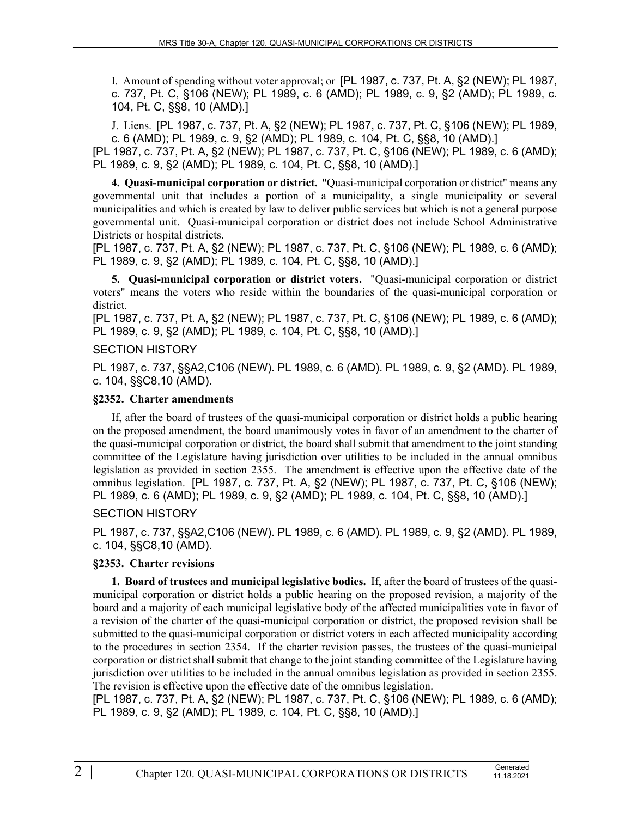I. Amount of spending without voter approval; or [PL 1987, c. 737, Pt. A, §2 (NEW); PL 1987, c. 737, Pt. C, §106 (NEW); PL 1989, c. 6 (AMD); PL 1989, c. 9, §2 (AMD); PL 1989, c. 104, Pt. C, §§8, 10 (AMD).]

J. Liens. [PL 1987, c. 737, Pt. A, §2 (NEW); PL 1987, c. 737, Pt. C, §106 (NEW); PL 1989, c. 6 (AMD); PL 1989, c. 9, §2 (AMD); PL 1989, c. 104, Pt. C, §§8, 10 (AMD).]

[PL 1987, c. 737, Pt. A, §2 (NEW); PL 1987, c. 737, Pt. C, §106 (NEW); PL 1989, c. 6 (AMD); PL 1989, c. 9, §2 (AMD); PL 1989, c. 104, Pt. C, §§8, 10 (AMD).]

**4. Quasi-municipal corporation or district.** "Quasi-municipal corporation or district" means any governmental unit that includes a portion of a municipality, a single municipality or several municipalities and which is created by law to deliver public services but which is not a general purpose governmental unit. Quasi-municipal corporation or district does not include School Administrative Districts or hospital districts.

[PL 1987, c. 737, Pt. A, §2 (NEW); PL 1987, c. 737, Pt. C, §106 (NEW); PL 1989, c. 6 (AMD); PL 1989, c. 9, §2 (AMD); PL 1989, c. 104, Pt. C, §§8, 10 (AMD).]

**5. Quasi-municipal corporation or district voters.** "Quasi-municipal corporation or district voters" means the voters who reside within the boundaries of the quasi-municipal corporation or district.

[PL 1987, c. 737, Pt. A, §2 (NEW); PL 1987, c. 737, Pt. C, §106 (NEW); PL 1989, c. 6 (AMD); PL 1989, c. 9, §2 (AMD); PL 1989, c. 104, Pt. C, §§8, 10 (AMD).]

### SECTION HISTORY

PL 1987, c. 737, §§A2,C106 (NEW). PL 1989, c. 6 (AMD). PL 1989, c. 9, §2 (AMD). PL 1989, c. 104, §§C8,10 (AMD).

### **§2352. Charter amendments**

If, after the board of trustees of the quasi-municipal corporation or district holds a public hearing on the proposed amendment, the board unanimously votes in favor of an amendment to the charter of the quasi-municipal corporation or district, the board shall submit that amendment to the joint standing committee of the Legislature having jurisdiction over utilities to be included in the annual omnibus legislation as provided in section 2355. The amendment is effective upon the effective date of the omnibus legislation. [PL 1987, c. 737, Pt. A, §2 (NEW); PL 1987, c. 737, Pt. C, §106 (NEW); PL 1989, c. 6 (AMD); PL 1989, c. 9, §2 (AMD); PL 1989, c. 104, Pt. C, §§8, 10 (AMD).]

## SECTION HISTORY

PL 1987, c. 737, §§A2,C106 (NEW). PL 1989, c. 6 (AMD). PL 1989, c. 9, §2 (AMD). PL 1989, c. 104, §§C8,10 (AMD).

## **§2353. Charter revisions**

**1. Board of trustees and municipal legislative bodies.** If, after the board of trustees of the quasimunicipal corporation or district holds a public hearing on the proposed revision, a majority of the board and a majority of each municipal legislative body of the affected municipalities vote in favor of a revision of the charter of the quasi-municipal corporation or district, the proposed revision shall be submitted to the quasi-municipal corporation or district voters in each affected municipality according to the procedures in section 2354. If the charter revision passes, the trustees of the quasi-municipal corporation or district shall submit that change to the joint standing committee of the Legislature having jurisdiction over utilities to be included in the annual omnibus legislation as provided in section 2355. The revision is effective upon the effective date of the omnibus legislation.

[PL 1987, c. 737, Pt. A, §2 (NEW); PL 1987, c. 737, Pt. C, §106 (NEW); PL 1989, c. 6 (AMD); PL 1989, c. 9, §2 (AMD); PL 1989, c. 104, Pt. C, §§8, 10 (AMD).]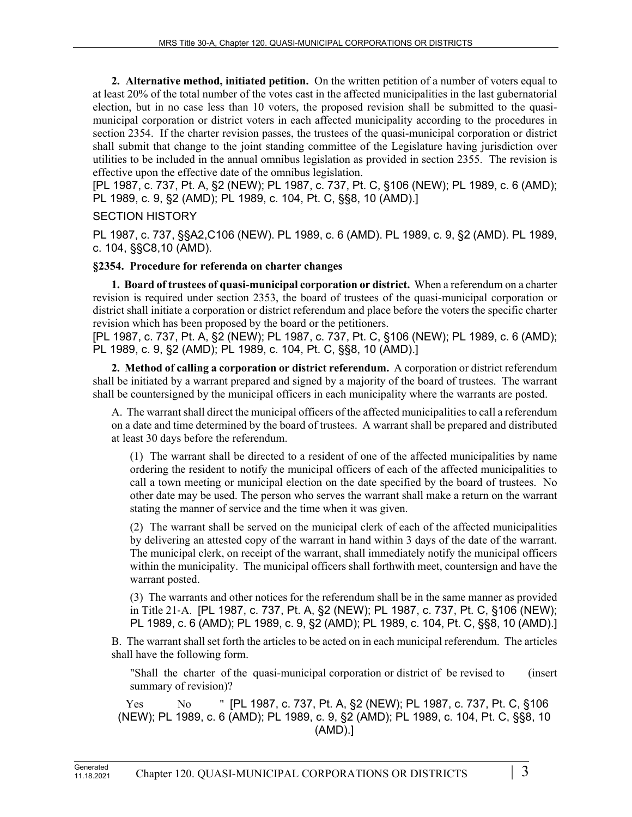**2. Alternative method, initiated petition.** On the written petition of a number of voters equal to at least 20% of the total number of the votes cast in the affected municipalities in the last gubernatorial election, but in no case less than 10 voters, the proposed revision shall be submitted to the quasimunicipal corporation or district voters in each affected municipality according to the procedures in section 2354. If the charter revision passes, the trustees of the quasi-municipal corporation or district shall submit that change to the joint standing committee of the Legislature having jurisdiction over utilities to be included in the annual omnibus legislation as provided in section 2355. The revision is effective upon the effective date of the omnibus legislation.

[PL 1987, c. 737, Pt. A, §2 (NEW); PL 1987, c. 737, Pt. C, §106 (NEW); PL 1989, c. 6 (AMD); PL 1989, c. 9, §2 (AMD); PL 1989, c. 104, Pt. C, §§8, 10 (AMD).]

## SECTION HISTORY

PL 1987, c. 737, §§A2,C106 (NEW). PL 1989, c. 6 (AMD). PL 1989, c. 9, §2 (AMD). PL 1989, c. 104, §§C8,10 (AMD).

## **§2354. Procedure for referenda on charter changes**

**1. Board of trustees of quasi-municipal corporation or district.** When a referendum on a charter revision is required under section 2353, the board of trustees of the quasi-municipal corporation or district shall initiate a corporation or district referendum and place before the voters the specific charter revision which has been proposed by the board or the petitioners.

[PL 1987, c. 737, Pt. A, §2 (NEW); PL 1987, c. 737, Pt. C, §106 (NEW); PL 1989, c. 6 (AMD); PL 1989, c. 9, §2 (AMD); PL 1989, c. 104, Pt. C, §§8, 10 (AMD).]

**2. Method of calling a corporation or district referendum.** A corporation or district referendum shall be initiated by a warrant prepared and signed by a majority of the board of trustees. The warrant shall be countersigned by the municipal officers in each municipality where the warrants are posted.

A. The warrant shall direct the municipal officers of the affected municipalities to call a referendum on a date and time determined by the board of trustees. A warrant shall be prepared and distributed at least 30 days before the referendum.

(1) The warrant shall be directed to a resident of one of the affected municipalities by name ordering the resident to notify the municipal officers of each of the affected municipalities to call a town meeting or municipal election on the date specified by the board of trustees. No other date may be used. The person who serves the warrant shall make a return on the warrant stating the manner of service and the time when it was given.

(2) The warrant shall be served on the municipal clerk of each of the affected municipalities by delivering an attested copy of the warrant in hand within 3 days of the date of the warrant. The municipal clerk, on receipt of the warrant, shall immediately notify the municipal officers within the municipality. The municipal officers shall forthwith meet, countersign and have the warrant posted.

(3) The warrants and other notices for the referendum shall be in the same manner as provided in Title 21‑A. [PL 1987, c. 737, Pt. A, §2 (NEW); PL 1987, c. 737, Pt. C, §106 (NEW); PL 1989, c. 6 (AMD); PL 1989, c. 9, §2 (AMD); PL 1989, c. 104, Pt. C, §§8, 10 (AMD).]

B. The warrant shall set forth the articles to be acted on in each municipal referendum. The articles shall have the following form.

"Shall the charter of the quasi-municipal corporation or district of be revised to (insert summary of revision)?

 Yes No " [PL 1987, c. 737, Pt. A, §2 (NEW); PL 1987, c. 737, Pt. C, §106 (NEW); PL 1989, c. 6 (AMD); PL 1989, c. 9, §2 (AMD); PL 1989, c. 104, Pt. C, §§8, 10 (AMD).]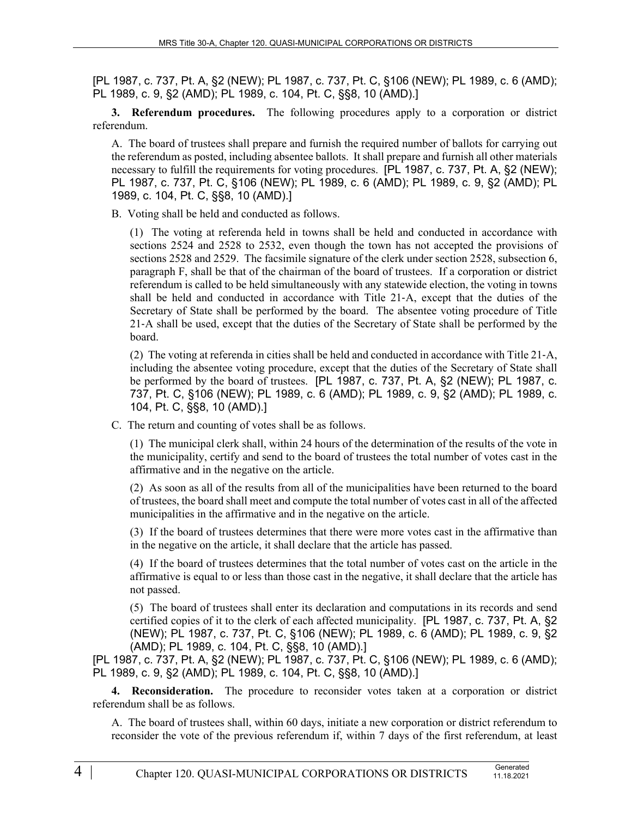[PL 1987, c. 737, Pt. A, §2 (NEW); PL 1987, c. 737, Pt. C, §106 (NEW); PL 1989, c. 6 (AMD); PL 1989, c. 9, §2 (AMD); PL 1989, c. 104, Pt. C, §§8, 10 (AMD).]

**3. Referendum procedures.** The following procedures apply to a corporation or district referendum.

A. The board of trustees shall prepare and furnish the required number of ballots for carrying out the referendum as posted, including absentee ballots. It shall prepare and furnish all other materials necessary to fulfill the requirements for voting procedures. [PL 1987, c. 737, Pt. A, §2 (NEW); PL 1987, c. 737, Pt. C, §106 (NEW); PL 1989, c. 6 (AMD); PL 1989, c. 9, §2 (AMD); PL 1989, c. 104, Pt. C, §§8, 10 (AMD).]

B. Voting shall be held and conducted as follows.

(1) The voting at referenda held in towns shall be held and conducted in accordance with sections 2524 and 2528 to 2532, even though the town has not accepted the provisions of sections 2528 and 2529. The facsimile signature of the clerk under section 2528, subsection 6, paragraph F, shall be that of the chairman of the board of trustees. If a corporation or district referendum is called to be held simultaneously with any statewide election, the voting in towns shall be held and conducted in accordance with Title 21‑A, except that the duties of the Secretary of State shall be performed by the board. The absentee voting procedure of Title 21‑A shall be used, except that the duties of the Secretary of State shall be performed by the board.

(2) The voting at referenda in cities shall be held and conducted in accordance with Title 21‑A, including the absentee voting procedure, except that the duties of the Secretary of State shall be performed by the board of trustees. [PL 1987, c. 737, Pt. A, §2 (NEW); PL 1987, c. 737, Pt. C, §106 (NEW); PL 1989, c. 6 (AMD); PL 1989, c. 9, §2 (AMD); PL 1989, c. 104, Pt. C, §§8, 10 (AMD).]

C. The return and counting of votes shall be as follows.

(1) The municipal clerk shall, within 24 hours of the determination of the results of the vote in the municipality, certify and send to the board of trustees the total number of votes cast in the affirmative and in the negative on the article.

(2) As soon as all of the results from all of the municipalities have been returned to the board of trustees, the board shall meet and compute the total number of votes cast in all of the affected municipalities in the affirmative and in the negative on the article.

(3) If the board of trustees determines that there were more votes cast in the affirmative than in the negative on the article, it shall declare that the article has passed.

(4) If the board of trustees determines that the total number of votes cast on the article in the affirmative is equal to or less than those cast in the negative, it shall declare that the article has not passed.

(5) The board of trustees shall enter its declaration and computations in its records and send certified copies of it to the clerk of each affected municipality. [PL 1987, c. 737, Pt. A, §2 (NEW); PL 1987, c. 737, Pt. C, §106 (NEW); PL 1989, c. 6 (AMD); PL 1989, c. 9, §2 (AMD); PL 1989, c. 104, Pt. C, §§8, 10 (AMD).]

[PL 1987, c. 737, Pt. A, §2 (NEW); PL 1987, c. 737, Pt. C, §106 (NEW); PL 1989, c. 6 (AMD); PL 1989, c. 9, §2 (AMD); PL 1989, c. 104, Pt. C, §§8, 10 (AMD).]

**4. Reconsideration.** The procedure to reconsider votes taken at a corporation or district referendum shall be as follows.

A. The board of trustees shall, within 60 days, initiate a new corporation or district referendum to reconsider the vote of the previous referendum if, within 7 days of the first referendum, at least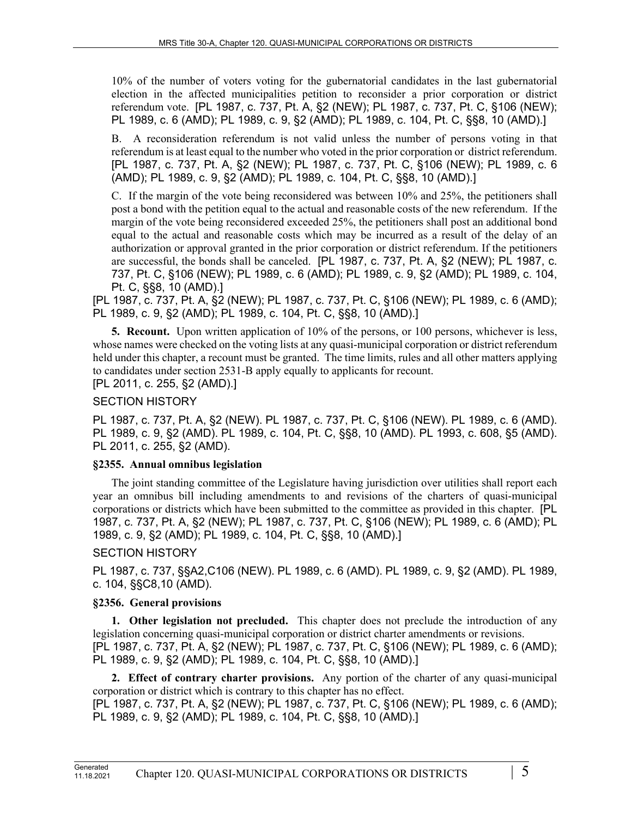10% of the number of voters voting for the gubernatorial candidates in the last gubernatorial election in the affected municipalities petition to reconsider a prior corporation or district referendum vote. [PL 1987, c. 737, Pt. A, §2 (NEW); PL 1987, c. 737, Pt. C, §106 (NEW); PL 1989, c. 6 (AMD); PL 1989, c. 9, §2 (AMD); PL 1989, c. 104, Pt. C, §§8, 10 (AMD).]

B. A reconsideration referendum is not valid unless the number of persons voting in that referendum is at least equal to the number who voted in the prior corporation or district referendum. [PL 1987, c. 737, Pt. A, §2 (NEW); PL 1987, c. 737, Pt. C, §106 (NEW); PL 1989, c. 6 (AMD); PL 1989, c. 9, §2 (AMD); PL 1989, c. 104, Pt. C, §§8, 10 (AMD).]

C. If the margin of the vote being reconsidered was between 10% and 25%, the petitioners shall post a bond with the petition equal to the actual and reasonable costs of the new referendum. If the margin of the vote being reconsidered exceeded 25%, the petitioners shall post an additional bond equal to the actual and reasonable costs which may be incurred as a result of the delay of an authorization or approval granted in the prior corporation or district referendum. If the petitioners are successful, the bonds shall be canceled. [PL 1987, c. 737, Pt. A, §2 (NEW); PL 1987, c. 737, Pt. C, §106 (NEW); PL 1989, c. 6 (AMD); PL 1989, c. 9, §2 (AMD); PL 1989, c. 104, Pt. C, §§8, 10 (AMD).]

[PL 1987, c. 737, Pt. A, §2 (NEW); PL 1987, c. 737, Pt. C, §106 (NEW); PL 1989, c. 6 (AMD); PL 1989, c. 9, §2 (AMD); PL 1989, c. 104, Pt. C, §§8, 10 (AMD).]

**5. Recount.** Upon written application of 10% of the persons, or 100 persons, whichever is less, whose names were checked on the voting lists at any quasi-municipal corporation or district referendum held under this chapter, a recount must be granted. The time limits, rules and all other matters applying to candidates under section 2531-B apply equally to applicants for recount.

[PL 2011, c. 255, §2 (AMD).]

## SECTION HISTORY

PL 1987, c. 737, Pt. A, §2 (NEW). PL 1987, c. 737, Pt. C, §106 (NEW). PL 1989, c. 6 (AMD). PL 1989, c. 9, §2 (AMD). PL 1989, c. 104, Pt. C, §§8, 10 (AMD). PL 1993, c. 608, §5 (AMD). PL 2011, c. 255, §2 (AMD).

## **§2355. Annual omnibus legislation**

The joint standing committee of the Legislature having jurisdiction over utilities shall report each year an omnibus bill including amendments to and revisions of the charters of quasi-municipal corporations or districts which have been submitted to the committee as provided in this chapter. [PL 1987, c. 737, Pt. A, §2 (NEW); PL 1987, c. 737, Pt. C, §106 (NEW); PL 1989, c. 6 (AMD); PL 1989, c. 9, §2 (AMD); PL 1989, c. 104, Pt. C, §§8, 10 (AMD).]

## SECTION HISTORY

PL 1987, c. 737, §§A2,C106 (NEW). PL 1989, c. 6 (AMD). PL 1989, c. 9, §2 (AMD). PL 1989, c. 104, §§C8,10 (AMD).

## **§2356. General provisions**

**1. Other legislation not precluded.** This chapter does not preclude the introduction of any legislation concerning quasi-municipal corporation or district charter amendments or revisions. [PL 1987, c. 737, Pt. A, §2 (NEW); PL 1987, c. 737, Pt. C, §106 (NEW); PL 1989, c. 6 (AMD); PL 1989, c. 9, §2 (AMD); PL 1989, c. 104, Pt. C, §§8, 10 (AMD).]

**2. Effect of contrary charter provisions.** Any portion of the charter of any quasi-municipal corporation or district which is contrary to this chapter has no effect.

[PL 1987, c. 737, Pt. A, §2 (NEW); PL 1987, c. 737, Pt. C, §106 (NEW); PL 1989, c. 6 (AMD); PL 1989, c. 9, §2 (AMD); PL 1989, c. 104, Pt. C, §§8, 10 (AMD).]